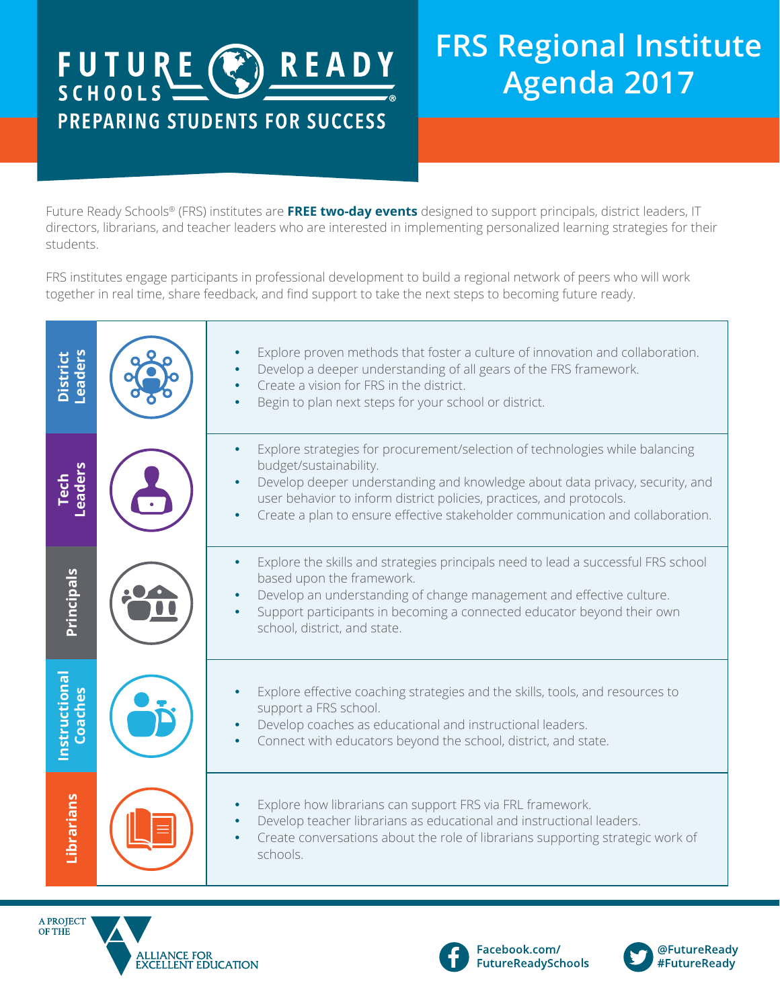# FUTURE CREADY PREPARING STUDENTS FOR SUCCESS

## **FRS Regional Institute Agenda 2017**

Future Ready Schools® (FRS) institutes are **FREE two-day events** designed to support principals, district leaders, IT directors, librarians, and teacher leaders who are interested in implementing personalized learning strategies for their students.

FRS institutes engage participants in professional development to build a regional network of peers who will work together in real time, share feedback, and find support to take the next steps to becoming future ready.

| <b>District</b><br>Leaders | Explore proven methods that foster a culture of innovation and collaboration.<br>Develop a deeper understanding of all gears of the FRS framework.<br>Create a vision for FRS in the district.<br>Begin to plan next steps for your school or district.                                                                                                       |
|----------------------------|---------------------------------------------------------------------------------------------------------------------------------------------------------------------------------------------------------------------------------------------------------------------------------------------------------------------------------------------------------------|
| Tech<br>-eaders            | Explore strategies for procurement/selection of technologies while balancing<br>budget/sustainability.<br>Develop deeper understanding and knowledge about data privacy, security, and<br>user behavior to inform district policies, practices, and protocols.<br>Create a plan to ensure effective stakeholder communication and collaboration.<br>$\bullet$ |
| <b>Principals</b>          | Explore the skills and strategies principals need to lead a successful FRS school<br>based upon the framework.<br>Develop an understanding of change management and effective culture.<br>Support participants in becoming a connected educator beyond their own<br>school, district, and state.                                                              |
| Instructional<br>Coaches   | Explore effective coaching strategies and the skills, tools, and resources to<br>support a FRS school.<br>Develop coaches as educational and instructional leaders.<br>Connect with educators beyond the school, district, and state.                                                                                                                         |
| Librarians                 | Explore how librarians can support FRS via FRL framework.<br>Develop teacher librarians as educational and instructional leaders.<br>Create conversations about the role of librarians supporting strategic work of<br>schools.                                                                                                                               |







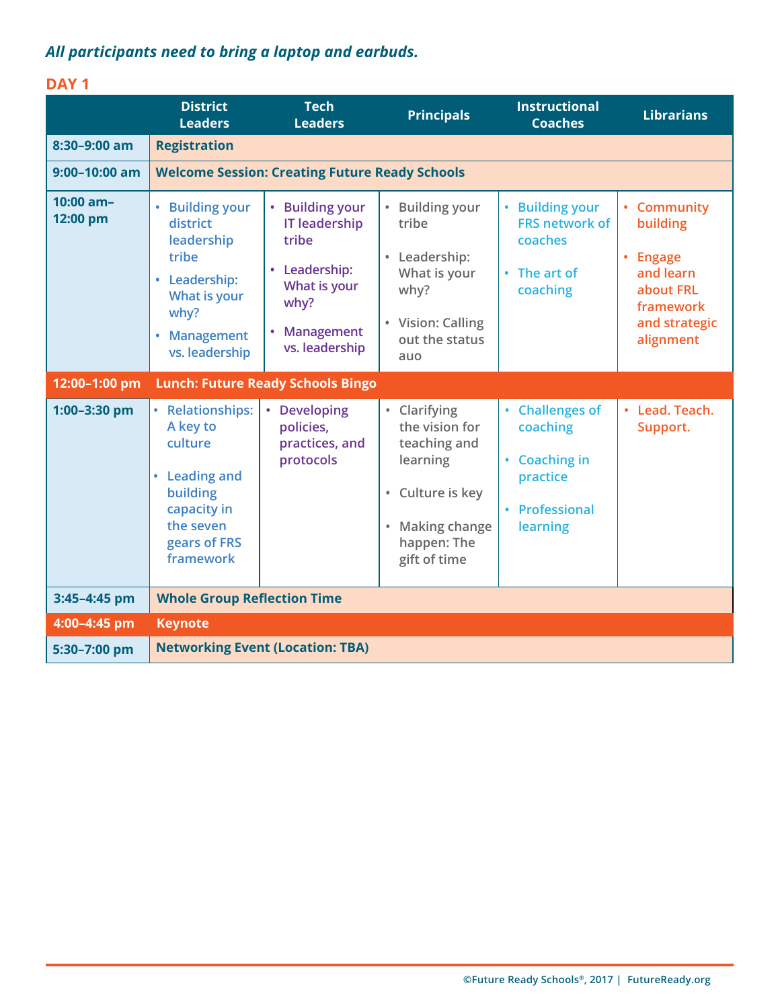## *All participants need to bring a laptop and earbuds.*

### **DAY 1**

|                         | <b>District</b><br><b>Leaders</b>                                                                                                                                 | <b>Tech</b><br><b>Leaders</b>                                                                                                    | <b>Principals</b>                                                                                                                                                        | <b>Instructional</b><br><b>Coaches</b>                                                                      | <b>Librarians</b>                                                                                                          |  |  |
|-------------------------|-------------------------------------------------------------------------------------------------------------------------------------------------------------------|----------------------------------------------------------------------------------------------------------------------------------|--------------------------------------------------------------------------------------------------------------------------------------------------------------------------|-------------------------------------------------------------------------------------------------------------|----------------------------------------------------------------------------------------------------------------------------|--|--|
| 8:30-9:00 am            | <b>Registration</b>                                                                                                                                               |                                                                                                                                  |                                                                                                                                                                          |                                                                                                             |                                                                                                                            |  |  |
| $9:00 - 10:00$ am       | <b>Welcome Session: Creating Future Ready Schools</b>                                                                                                             |                                                                                                                                  |                                                                                                                                                                          |                                                                                                             |                                                                                                                            |  |  |
| $10:00$ am-<br>12:00 pm | $\bullet$<br><b>Building your</b><br>district<br>leadership<br>tribe<br>• Leadership:<br>What is your<br>why?<br><b>Management</b><br>$\bullet$<br>vs. leadership | • Building your<br><b>IT leadership</b><br>tribe<br>• Leadership:<br>What is your<br>why?<br><b>Management</b><br>vs. leadership | <b>Building your</b><br>tribe<br>Leadership:<br>$\bullet$<br>What is your<br>why?<br>• Vision: Calling<br>out the status<br>auo                                          | • Building your<br><b>FRS network of</b><br>coaches<br>• The art of<br>coaching                             | • Community<br>building<br><b>Engage</b><br>$\bullet$<br>and learn<br>about FRL<br>framework<br>and strategic<br>alignment |  |  |
| 12:00-1:00 pm           |                                                                                                                                                                   | <b>Lunch: Future Ready Schools Bingo</b>                                                                                         |                                                                                                                                                                          |                                                                                                             |                                                                                                                            |  |  |
| 1:00-3:30 pm            | • Relationships:<br>A key to<br>culture<br>• Leading and<br>building<br>capacity in<br>the seven<br>gears of FRS<br>framework                                     | <b>Developing</b><br>$\bullet$<br>policies,<br>practices, and<br>protocols                                                       | Clarifying<br>$\bullet$<br>the vision for<br>teaching and<br>learning<br>Culture is key<br>$\bullet$<br><b>Making change</b><br>$\bullet$<br>happen: The<br>gift of time | <b>Challenges of</b><br>coaching<br><b>Coaching in</b><br>$\bullet$<br>practice<br>Professional<br>learning | Lead. Teach.<br>Support.                                                                                                   |  |  |
| 3:45-4:45 pm            | <b>Whole Group Reflection Time</b>                                                                                                                                |                                                                                                                                  |                                                                                                                                                                          |                                                                                                             |                                                                                                                            |  |  |
| 4:00-4:45 pm            | <b>Keynote</b>                                                                                                                                                    |                                                                                                                                  |                                                                                                                                                                          |                                                                                                             |                                                                                                                            |  |  |
| 5:30-7:00 pm            | <b>Networking Event (Location: TBA)</b>                                                                                                                           |                                                                                                                                  |                                                                                                                                                                          |                                                                                                             |                                                                                                                            |  |  |